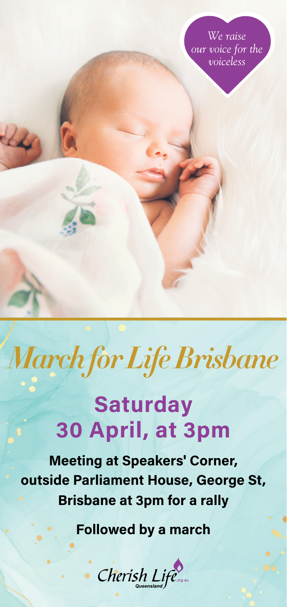*We raise our voice for the voiceless* 

## *March for Life Brisbane*

## **Saturday 30 April, at 3pm**

**Meeting at Speakers' Corner, outside Parliament House, George St, Brisbane at 3pm for a rally**

**Followed by a march**